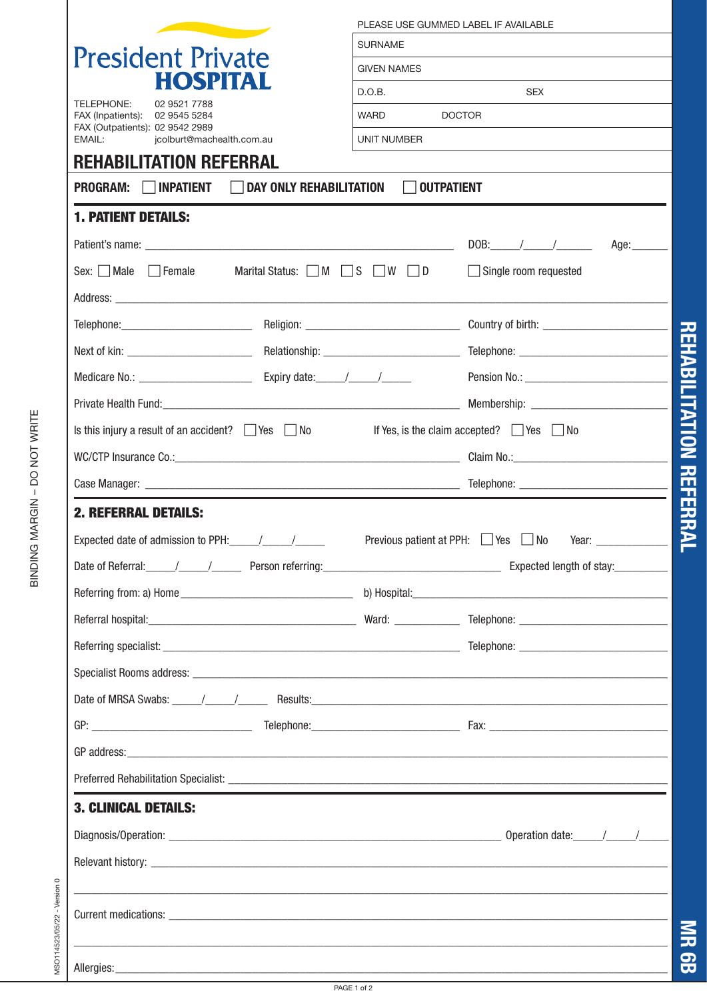| <b>SURNAME</b><br><b>President Private</b><br><b>GIVEN NAMES</b><br><b>HOSPITAL</b><br>D.O.B.<br>02 9521 7788<br>WARD<br><b>DOCTOR</b><br>FAX (Inpatients): 02 9545 5284<br>FAX (Outpatients): 02 9542 2989<br>jcolburt@machealth.com.au<br>UNIT NUMBER<br><b>REHABILITATION REFERRAL</b><br>DAY ONLY REHABILITATION<br><b>INPATIENT</b><br><b>OUTPATIENT</b><br><b>1. PATIENT DETAILS:</b><br>Sex: $\Box$ Male $\Box$ Female<br>Marital Status: $\Box$ M $\Box$ S $\Box$ W $\Box$ D<br>Is this injury a result of an accident? $\Box$ Yes $\Box$ No If Yes, is the claim accepted? $\Box$ Yes $\Box$ No<br><b>2. REFERRAL DETAILS:</b><br><b>3. CLINICAL DETAILS:</b> | PLEASE USE GUMMED LABEL IF AVAILABLE<br><b>SEX</b><br>DOB: $\angle$<br>Age: $\qquad \qquad$<br>$\Box$ Single room requested<br>Telephone: Country of birth: Country of birth: Country of birth: Country of birth:<br>GP address: experience and a series of the series of the series of the series of the series of the series of the series of the series of the series of the series of the series of the series of the series of the series of t |
|------------------------------------------------------------------------------------------------------------------------------------------------------------------------------------------------------------------------------------------------------------------------------------------------------------------------------------------------------------------------------------------------------------------------------------------------------------------------------------------------------------------------------------------------------------------------------------------------------------------------------------------------------------------------|-----------------------------------------------------------------------------------------------------------------------------------------------------------------------------------------------------------------------------------------------------------------------------------------------------------------------------------------------------------------------------------------------------------------------------------------------------|
|                                                                                                                                                                                                                                                                                                                                                                                                                                                                                                                                                                                                                                                                        |                                                                                                                                                                                                                                                                                                                                                                                                                                                     |
|                                                                                                                                                                                                                                                                                                                                                                                                                                                                                                                                                                                                                                                                        |                                                                                                                                                                                                                                                                                                                                                                                                                                                     |
|                                                                                                                                                                                                                                                                                                                                                                                                                                                                                                                                                                                                                                                                        |                                                                                                                                                                                                                                                                                                                                                                                                                                                     |
|                                                                                                                                                                                                                                                                                                                                                                                                                                                                                                                                                                                                                                                                        |                                                                                                                                                                                                                                                                                                                                                                                                                                                     |
|                                                                                                                                                                                                                                                                                                                                                                                                                                                                                                                                                                                                                                                                        |                                                                                                                                                                                                                                                                                                                                                                                                                                                     |
|                                                                                                                                                                                                                                                                                                                                                                                                                                                                                                                                                                                                                                                                        |                                                                                                                                                                                                                                                                                                                                                                                                                                                     |
|                                                                                                                                                                                                                                                                                                                                                                                                                                                                                                                                                                                                                                                                        |                                                                                                                                                                                                                                                                                                                                                                                                                                                     |
|                                                                                                                                                                                                                                                                                                                                                                                                                                                                                                                                                                                                                                                                        |                                                                                                                                                                                                                                                                                                                                                                                                                                                     |
|                                                                                                                                                                                                                                                                                                                                                                                                                                                                                                                                                                                                                                                                        |                                                                                                                                                                                                                                                                                                                                                                                                                                                     |
|                                                                                                                                                                                                                                                                                                                                                                                                                                                                                                                                                                                                                                                                        |                                                                                                                                                                                                                                                                                                                                                                                                                                                     |
|                                                                                                                                                                                                                                                                                                                                                                                                                                                                                                                                                                                                                                                                        |                                                                                                                                                                                                                                                                                                                                                                                                                                                     |
|                                                                                                                                                                                                                                                                                                                                                                                                                                                                                                                                                                                                                                                                        |                                                                                                                                                                                                                                                                                                                                                                                                                                                     |
|                                                                                                                                                                                                                                                                                                                                                                                                                                                                                                                                                                                                                                                                        |                                                                                                                                                                                                                                                                                                                                                                                                                                                     |
|                                                                                                                                                                                                                                                                                                                                                                                                                                                                                                                                                                                                                                                                        |                                                                                                                                                                                                                                                                                                                                                                                                                                                     |
|                                                                                                                                                                                                                                                                                                                                                                                                                                                                                                                                                                                                                                                                        |                                                                                                                                                                                                                                                                                                                                                                                                                                                     |
|                                                                                                                                                                                                                                                                                                                                                                                                                                                                                                                                                                                                                                                                        |                                                                                                                                                                                                                                                                                                                                                                                                                                                     |
|                                                                                                                                                                                                                                                                                                                                                                                                                                                                                                                                                                                                                                                                        |                                                                                                                                                                                                                                                                                                                                                                                                                                                     |
|                                                                                                                                                                                                                                                                                                                                                                                                                                                                                                                                                                                                                                                                        |                                                                                                                                                                                                                                                                                                                                                                                                                                                     |
|                                                                                                                                                                                                                                                                                                                                                                                                                                                                                                                                                                                                                                                                        |                                                                                                                                                                                                                                                                                                                                                                                                                                                     |
|                                                                                                                                                                                                                                                                                                                                                                                                                                                                                                                                                                                                                                                                        |                                                                                                                                                                                                                                                                                                                                                                                                                                                     |
|                                                                                                                                                                                                                                                                                                                                                                                                                                                                                                                                                                                                                                                                        |                                                                                                                                                                                                                                                                                                                                                                                                                                                     |
|                                                                                                                                                                                                                                                                                                                                                                                                                                                                                                                                                                                                                                                                        |                                                                                                                                                                                                                                                                                                                                                                                                                                                     |
|                                                                                                                                                                                                                                                                                                                                                                                                                                                                                                                                                                                                                                                                        |                                                                                                                                                                                                                                                                                                                                                                                                                                                     |
|                                                                                                                                                                                                                                                                                                                                                                                                                                                                                                                                                                                                                                                                        |                                                                                                                                                                                                                                                                                                                                                                                                                                                     |
|                                                                                                                                                                                                                                                                                                                                                                                                                                                                                                                                                                                                                                                                        |                                                                                                                                                                                                                                                                                                                                                                                                                                                     |
|                                                                                                                                                                                                                                                                                                                                                                                                                                                                                                                                                                                                                                                                        |                                                                                                                                                                                                                                                                                                                                                                                                                                                     |
|                                                                                                                                                                                                                                                                                                                                                                                                                                                                                                                                                                                                                                                                        |                                                                                                                                                                                                                                                                                                                                                                                                                                                     |
|                                                                                                                                                                                                                                                                                                                                                                                                                                                                                                                                                                                                                                                                        |                                                                                                                                                                                                                                                                                                                                                                                                                                                     |
|                                                                                                                                                                                                                                                                                                                                                                                                                                                                                                                                                                                                                                                                        |                                                                                                                                                                                                                                                                                                                                                                                                                                                     |
|                                                                                                                                                                                                                                                                                                                                                                                                                                                                                                                                                                                                                                                                        |                                                                                                                                                                                                                                                                                                                                                                                                                                                     |
|                                                                                                                                                                                                                                                                                                                                                                                                                                                                                                                                                                                                                                                                        |                                                                                                                                                                                                                                                                                                                                                                                                                                                     |
|                                                                                                                                                                                                                                                                                                                                                                                                                                                                                                                                                                                                                                                                        |                                                                                                                                                                                                                                                                                                                                                                                                                                                     |
|                                                                                                                                                                                                                                                                                                                                                                                                                                                                                                                                                                                                                                                                        |                                                                                                                                                                                                                                                                                                                                                                                                                                                     |
|                                                                                                                                                                                                                                                                                                                                                                                                                                                                                                                                                                                                                                                                        |                                                                                                                                                                                                                                                                                                                                                                                                                                                     |

BINDING MARGIN - DO NOT WRITE BINDING MARGIN – DO NOT WRITE

PAGE 1 of 2